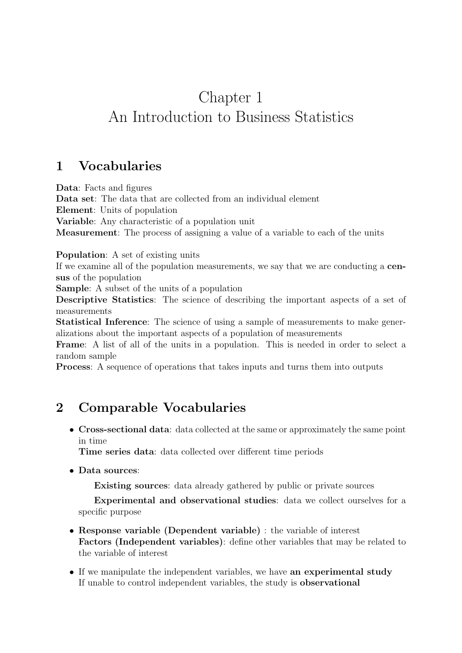# Chapter 1 An Introduction to Business Statistics

### 1 Vocabularies

Data: Facts and figures Data set: The data that are collected from an individual element Element: Units of population Variable: Any characteristic of a population unit Measurement: The process of assigning a value of a variable to each of the units

#### Population: A set of existing units

If we examine all of the population measurements, we say that we are conducting a census of the population

Sample: A subset of the units of a population

Descriptive Statistics: The science of describing the important aspects of a set of measurements

Statistical Inference: The science of using a sample of measurements to make generalizations about the important aspects of a population of measurements

Frame: A list of all of the units in a population. This is needed in order to select a random sample

Process: A sequence of operations that takes inputs and turns them into outputs

## 2 Comparable Vocabularies

• Cross-sectional data: data collected at the same or approximately the same point in time

Time series data: data collected over different time periods

• Data sources:

Existing sources: data already gathered by public or private sources

Experimental and observational studies: data we collect ourselves for a specific purpose

- Response variable (Dependent variable) : the variable of interest Factors (Independent variables): define other variables that may be related to the variable of interest
- If we manipulate the independent variables, we have an experimental study If unable to control independent variables, the study is observational